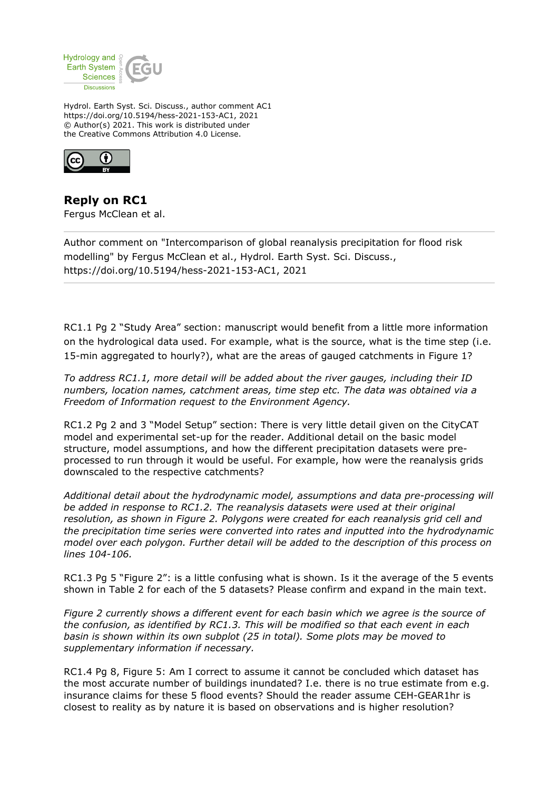

Hydrol. Earth Syst. Sci. Discuss., author comment AC1 https://doi.org/10.5194/hess-2021-153-AC1, 2021 © Author(s) 2021. This work is distributed under the Creative Commons Attribution 4.0 License.



**Reply on RC1** Fergus McClean et al.

Author comment on "Intercomparison of global reanalysis precipitation for flood risk modelling" by Fergus McClean et al., Hydrol. Earth Syst. Sci. Discuss., https://doi.org/10.5194/hess-2021-153-AC1, 2021

RC1.1 Pg 2 "Study Area" section: manuscript would benefit from a little more information on the hydrological data used. For example, what is the source, what is the time step (i.e. 15-min aggregated to hourly?), what are the areas of gauged catchments in Figure 1?

*To address RC1.1, more detail will be added about the river gauges, including their ID numbers, location names, catchment areas, time step etc. The data was obtained via a Freedom of Information request to the Environment Agency.*

RC1.2 Pg 2 and 3 "Model Setup" section: There is very little detail given on the CityCAT model and experimental set-up for the reader. Additional detail on the basic model structure, model assumptions, and how the different precipitation datasets were preprocessed to run through it would be useful. For example, how were the reanalysis grids downscaled to the respective catchments?

*Additional detail about the hydrodynamic model, assumptions and data pre-processing will be added in response to RC1.2. The reanalysis datasets were used at their original resolution, as shown in Figure 2. Polygons were created for each reanalysis grid cell and the precipitation time series were converted into rates and inputted into the hydrodynamic model over each polygon. Further detail will be added to the description of this process on lines 104-106.*

RC1.3 Pg 5 "Figure 2": is a little confusing what is shown. Is it the average of the 5 events shown in Table 2 for each of the 5 datasets? Please confirm and expand in the main text.

*Figure 2 currently shows a different event for each basin which we agree is the source of the confusion, as identified by RC1.3. This will be modified so that each event in each basin is shown within its own subplot (25 in total). Some plots may be moved to supplementary information if necessary.* 

RC1.4 Pg 8, Figure 5: Am I correct to assume it cannot be concluded which dataset has the most accurate number of buildings inundated? I.e. there is no true estimate from e.g. insurance claims for these 5 flood events? Should the reader assume CEH-GEAR1hr is closest to reality as by nature it is based on observations and is higher resolution?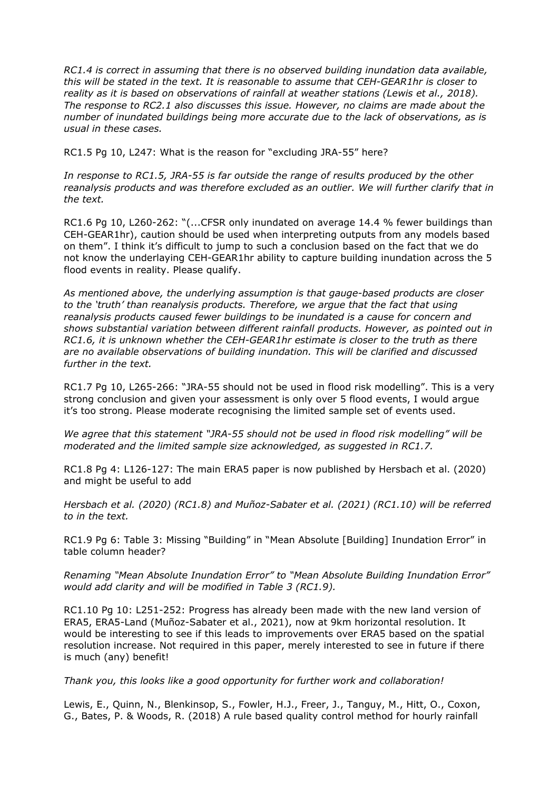*RC1.4 is correct in assuming that there is no observed building inundation data available, this will be stated in the text. It is reasonable to assume that CEH-GEAR1hr is closer to reality as it is based on observations of rainfall at weather stations (Lewis et al., 2018). The response to RC2.1 also discusses this issue. However, no claims are made about the number of inundated buildings being more accurate due to the lack of observations, as is usual in these cases.* 

RC1.5 Pg 10, L247: What is the reason for "excluding JRA-55" here?

*In response to RC1.5, JRA-55 is far outside the range of results produced by the other reanalysis products and was therefore excluded as an outlier. We will further clarify that in the text.*

RC1.6 Pg 10, L260-262: "(...CFSR only inundated on average 14.4 % fewer buildings than CEH-GEAR1hr), caution should be used when interpreting outputs from any models based on them". I think it's difficult to jump to such a conclusion based on the fact that we do not know the underlaying CEH-GEAR1hr ability to capture building inundation across the 5 flood events in reality. Please qualify.

*As mentioned above, the underlying assumption is that gauge-based products are closer to the 'truth' than reanalysis products. Therefore, we argue that the fact that using reanalysis products caused fewer buildings to be inundated is a cause for concern and shows substantial variation between different rainfall products. However, as pointed out in RC1.6, it is unknown whether the CEH-GEAR1hr estimate is closer to the truth as there are no available observations of building inundation. This will be clarified and discussed further in the text.*

RC1.7 Pg 10, L265-266: "JRA-55 should not be used in flood risk modelling". This is a very strong conclusion and given your assessment is only over 5 flood events, I would argue it's too strong. Please moderate recognising the limited sample set of events used.

*We agree that this statement "JRA-55 should not be used in flood risk modelling" will be moderated and the limited sample size acknowledged, as suggested in RC1.7.*

RC1.8 Pg 4: L126-127: The main ERA5 paper is now published by Hersbach et al. (2020) and might be useful to add

*Hersbach et al. (2020) (RC1.8) and Muñoz-Sabater et al. (2021) (RC1.10) will be referred to in the text.*

RC1.9 Pg 6: Table 3: Missing "Building" in "Mean Absolute [Building] Inundation Error" in table column header?

*Renaming "Mean Absolute Inundation Error" to "Mean Absolute Building Inundation Error" would add clarity and will be modified in Table 3 (RC1.9).*

RC1.10 Pg 10: L251-252: Progress has already been made with the new land version of ERA5, ERA5-Land (Muñoz-Sabater et al., 2021), now at 9km horizontal resolution. It would be interesting to see if this leads to improvements over ERA5 based on the spatial resolution increase. Not required in this paper, merely interested to see in future if there is much (any) benefit!

*Thank you, this looks like a good opportunity for further work and collaboration!*

Lewis, E., Quinn, N., Blenkinsop, S., Fowler, H.J., Freer, J., Tanguy, M., Hitt, O., Coxon, G., Bates, P. & Woods, R. (2018) A rule based quality control method for hourly rainfall